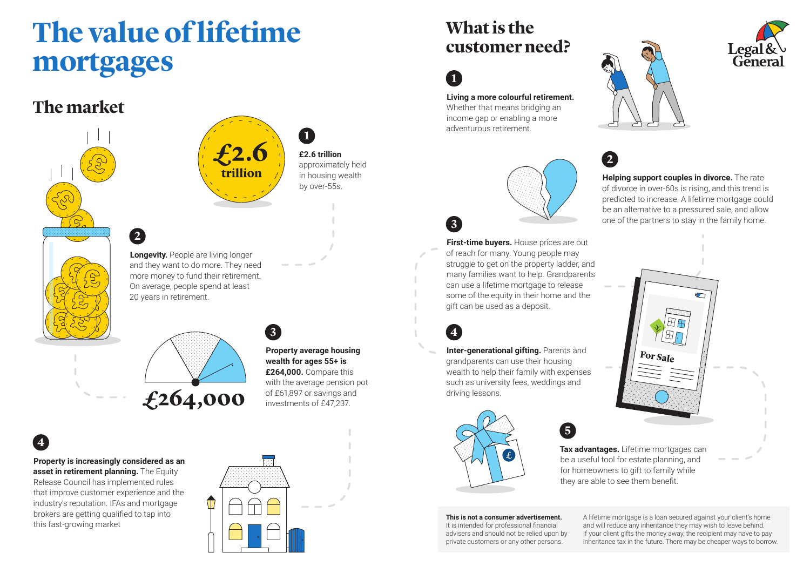# **The value of lifetime mortgages**

### **The market**



**2**

trillion

**Longevity.** People are living longer and they want to do more. They need more money to fund their retirement. On average, people spend at least 20 years in retirement.

**3**

**Property average housing wealth for ages 55+ is £264,000.** Compare this with the average pension pot of £61,897 or savings and investments of £47,237.

**1**

**£2.6 trillion** approximately held in housing wealth by over-55s.

### **4 Property is increasingly considered as an**

**asset in retirement planning.** The Equity Release Council has implemented rules that improve customer experience and the industry's reputation. IFAs and mortgage brokers are getting qualified to tap into this fast-growing market



## **What is the customer need?**



**Living a more colourful retirement.** Whether that means bridging an

income gap or enabling a more adventurous retirement.



**5**

**First-time buyers.** House prices are out of reach for many. Young people may struggle to get on the property ladder, and many families want to help. Grandparents can use a lifetime mortgage to release some of the equity in their home and the gift can be used as a deposit.

**Inter-generational gifting.** Parents and grandparents can use their housing wealth to help their family with expenses such as university fees, weddings and



driving lessons.

**This is not a consumer advertisement.** 

It is intended for professional financial advisers and should not be relied upon by private customers or any other persons.

**Tax advantages.** Lifetime mortgages can be a useful tool for estate planning, and for homeowners to gift to family while they are able to see them benefit.

For Sale

A lifetime mortgage is a loan secured against your client's home and will reduce any inheritance they may wish to leave behind. If your client gifts the money away, the recipient may have to pay inheritance tax in the future. There may be cheaper ways to borrow.



**Helping support couples in divorce.** The rate of divorce in over-60s is rising, and this trend is predicted to increase. A lifetime mortgage could be an alternative to a pressured sale, and allow one of the partners to stay in the family home. **3**

**2**







£264,000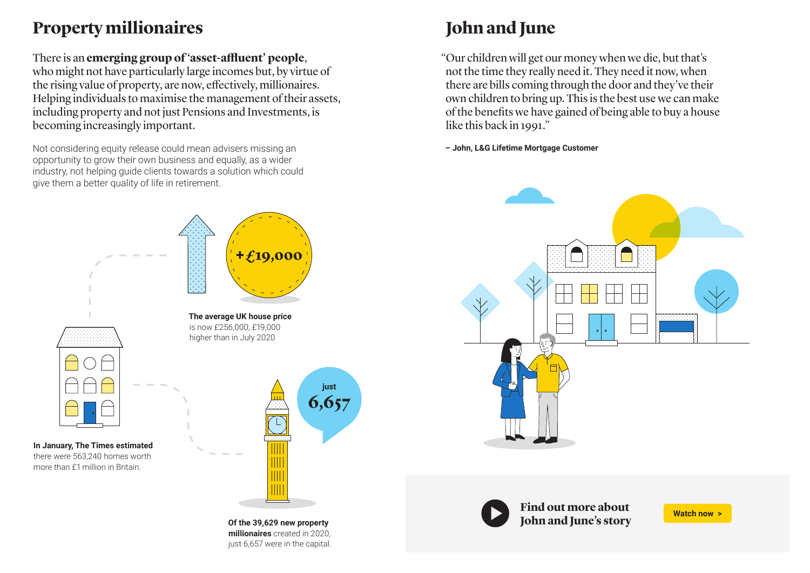## **Property millionaires John and June**

### There is an **emerging group of 'asset-affluent' people**,

who might not have particularly large incomes but, by virtue of the rising value of property, are now, effectively, millionaires. Helping individuals to maximise the management of their assets, including property and not just Pensions and Investments, is becoming increasingly important.

Not considering equity release could mean advisers missing an opportunity to grow their own business and equally, as a wider industry, not helping guide clients towards a solution which could give them a better quality of life in retirement.

"Our children will get our money when we die, but that's not the time they really need it. They need it now, when there are bills coming through the door and they've their own children to bring up. This is the best use we can make of the benefits we have gained of being able to buy a house like this back in 1991."

**– John, L&G Lifetime Mortgage Customer**



**[Find out more about](https://www.legalandgeneral.com/adviser/retirement/knowledge-hub/get-smarter-with-property-wealth/#video)  John and June's story** 

**In January, The Times estimated** there were 563,240 homes worth

more than £1 million in Britain.



**Of the 39,629 new property millionaires** created in 2020, just 6,657 were in the capital.